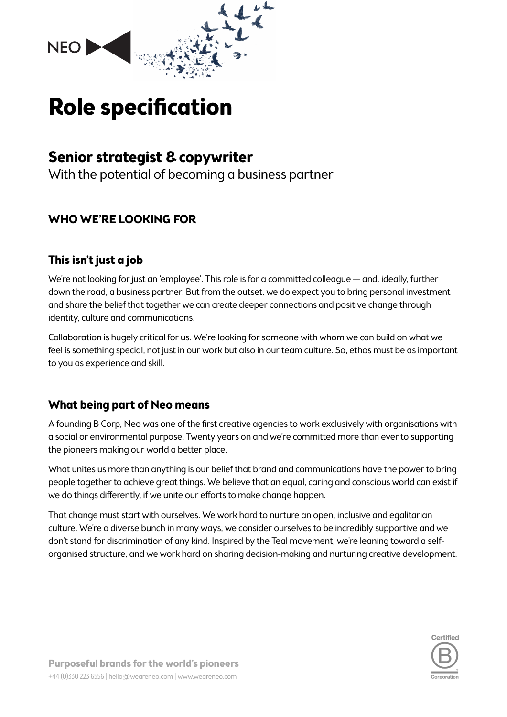

# **Role specification**

# **Senior strategist & copywriter**

With the potential of becoming a business partner

# **WHO WE'RE LOOKING FOR**

# **This isn't just a job**

We're not looking for just an 'employee'. This role is for a committed colleague — and, ideally, further down the road, a business partner. But from the outset, we do expect you to bring personal investment and share the belief that together we can create deeper connections and positive change through identity, culture and communications.

Collaboration is hugely critical for us. We're looking for someone with whom we can build on what we feel is something special, not just in our work but also in our team culture. So, ethos must be as important to you as experience and skill.

# **What being part of Neo means**

A founding B Corp, Neo was one of the first creative agencies to work exclusively with organisations with a social or environmental purpose. Twenty years on and we're committed more than ever to supporting the pioneers making our world a better place.

What unites us more than anything is our belief that brand and communications have the power to bring people together to achieve great things. We believe that an equal, caring and conscious world can exist if we do things differently, if we unite our efforts to make change happen.

That change must start with ourselves. We work hard to nurture an open, inclusive and egalitarian culture. We're a diverse bunch in many ways, we consider ourselves to be incredibly supportive and we don't stand for discrimination of any kind. Inspired by the Teal movement, we're leaning toward a selforganised structure, and we work hard on sharing decision-making and nurturing creative development.

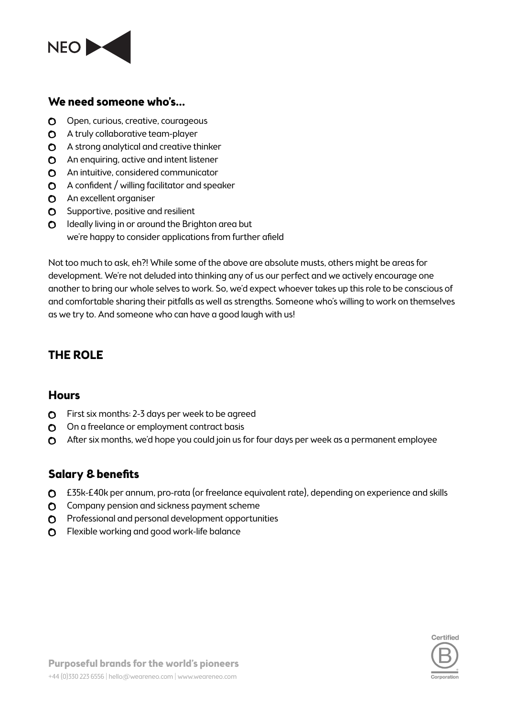

#### **We need someone who's…**

- O Open, curious, creative, courageous
- **O** A truly collaborative team-player
- A strong analytical and creative thinker
- **C** An enquiring, active and intent listener
- **O** An intuitive, considered communicator
- $\Omega$  A confident / willing facilitator and speaker
- **O** An excellent organiser
- $\bullet$  Supportive, positive and resilient
- $\Omega$  Ideally living in or around the Brighton area but we're happy to consider applications from further afield

Not too much to ask, eh?! While some of the above are absolute musts, others might be areas for development. We're not deluded into thinking any of us our perfect and we actively encourage one another to bring our whole selves to work. So, we'd expect whoever takes up this role to be conscious of and comfortable sharing their pitfalls as well as strengths. Someone who's willing to work on themselves as we try to. And someone who can have a good laugh with us!

# **THE ROLE**

#### **Hours**

- **O** First six months: 2-3 days per week to be agreed
- O On a freelance or employment contract basis
- After six months, we'd hope you could join us for four days per week as a permanent employee

#### **Salary & benefits**

- £35k-£40k per annum, pro-rata (or freelance equivalent rate), depending on experience and skills
- **O** Company pension and sickness payment scheme
- $\Omega$  Professional and personal development opportunities
- **O** Flexible working and good work-life balance

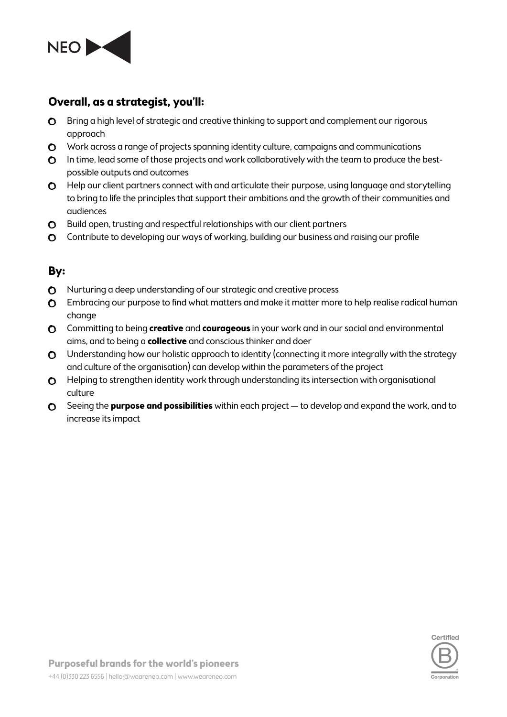

#### **Overall, as a strategist, you'll:**

- **O** Bring a high level of strategic and creative thinking to support and complement our rigorous approach
- O Work across a range of projects spanning identity culture, campaigns and communications
- **O** In time, lead some of those projects and work collaboratively with the team to produce the bestpossible outputs and outcomes
- **O** Help our client partners connect with and articulate their purpose, using language and storytelling to bring to life the principles that support their ambitions and the growth of their communities and audiences
- **C** Build open, trusting and respectful relationships with our client partners
- Contribute to developing our ways of working, building our business and raising our profile

#### **By:**

- Nurturing a deep understanding of our strategic and creative process
- **O** Embracing our purpose to find what matters and make it matter more to help realise radical human change
- Committing to being **creative** and **courageous** in your work and in our social and environmental aims, and to being a **collective** and conscious thinker and doer
- **O** Understanding how our holistic approach to identity (connecting it more integrally with the strategy and culture of the organisation) can develop within the parameters of the project
- **O** Helping to strengthen identity work through understanding its intersection with organisational culture
- Seeing the **purpose and possibilities** within each project to develop and expand the work, and to increase its impact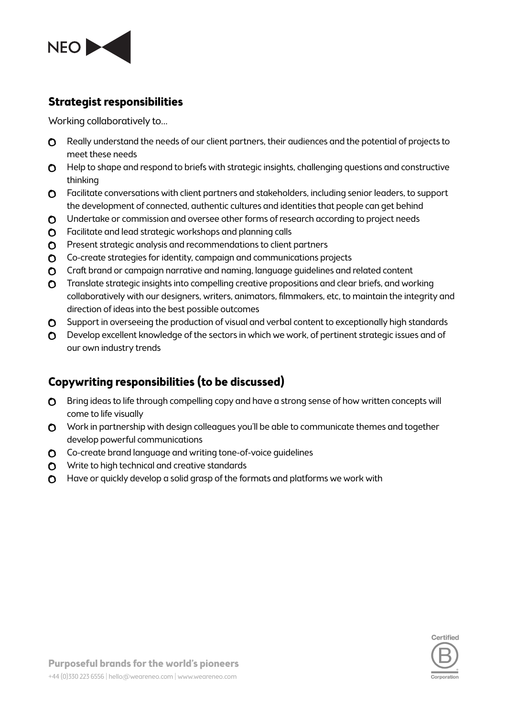

#### **Strategist responsibilities**

Working collaboratively to…

- **O** Really understand the needs of our client partners, their audiences and the potential of projects to meet these needs
- **O** Help to shape and respond to briefs with strategic insights, challenging questions and constructive thinking
- Facilitate conversations with client partners and stakeholders, including senior leaders, to support the development of connected, authentic cultures and identities that people can get behind
- O Undertake or commission and oversee other forms of research according to project needs
- **O** Facilitate and lead strategic workshops and planning calls
- **O** Present strategic analysis and recommendations to client partners
- Co-create strategies for identity, campaign and communications projects
- Craft brand or campaign narrative and naming, language guidelines and related content
- **O** Translate strategic insights into compelling creative propositions and clear briefs, and working collaboratively with our designers, writers, animators, filmmakers, etc, to maintain the integrity and direction of ideas into the best possible outcomes
- **O** Support in overseeing the production of visual and verbal content to exceptionally high standards
- O Develop excellent knowledge of the sectors in which we work, of pertinent strategic issues and of our own industry trends

# **Copywriting responsibilities (to be discussed)**

- **O** Bring ideas to life through compelling copy and have a strong sense of how written concepts will come to life visually
- O Work in partnership with design colleagues you'll be able to communicate themes and together develop powerful communications
- Co-create brand language and writing tone-of-voice guidelines
- **O** Write to high technical and creative standards
- **O** Have or quickly develop a solid grasp of the formats and platforms we work with